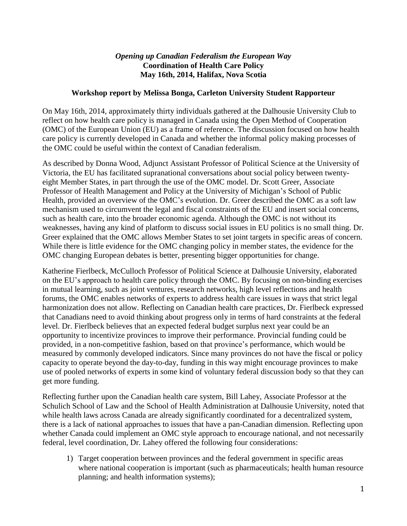## *Opening up Canadian Federalism the European Way* **Coordination of Health Care Policy May 16th, 2014, Halifax, Nova Scotia**

## **Workshop report by Melissa Bonga, Carleton University Student Rapporteur**

On May 16th, 2014, approximately thirty individuals gathered at the Dalhousie University Club to reflect on how health care policy is managed in Canada using the Open Method of Cooperation (OMC) of the European Union (EU) as a frame of reference. The discussion focused on how health care policy is currently developed in Canada and whether the informal policy making processes of the OMC could be useful within the context of Canadian federalism.

As described by Donna Wood, Adjunct Assistant Professor of Political Science at the University of Victoria, the EU has facilitated supranational conversations about social policy between twentyeight Member States, in part through the use of the OMC model. Dr. Scott Greer, Associate Professor of Health Management and Policy at the University of Michigan's School of Public Health, provided an overview of the OMC's evolution. Dr. Greer described the OMC as a soft law mechanism used to circumvent the legal and fiscal constraints of the EU and insert social concerns, such as health care, into the broader economic agenda. Although the OMC is not without its weaknesses, having any kind of platform to discuss social issues in EU politics is no small thing. Dr. Greer explained that the OMC allows Member States to set joint targets in specific areas of concern. While there is little evidence for the OMC changing policy in member states, the evidence for the OMC changing European debates is better, presenting bigger opportunities for change.

Katherine Fierlbeck, McCulloch Professor of Political Science at Dalhousie University, elaborated on the EU's approach to health care policy through the OMC. By focusing on non-binding exercises in mutual learning, such as joint ventures, research networks, high level reflections and health forums, the OMC enables networks of experts to address health care issues in ways that strict legal harmonization does not allow. Reflecting on Canadian health care practices, Dr. Fierlbeck expressed that Canadians need to avoid thinking about progress only in terms of hard constraints at the federal level. Dr. Fierlbeck believes that an expected federal budget surplus next year could be an opportunity to incentivize provinces to improve their performance. Provincial funding could be provided, in a non-competitive fashion, based on that province's performance, which would be measured by commonly developed indicators. Since many provinces do not have the fiscal or policy capacity to operate beyond the day-to-day, funding in this way might encourage provinces to make use of pooled networks of experts in some kind of voluntary federal discussion body so that they can get more funding.

Reflecting further upon the Canadian health care system, Bill Lahey, Associate Professor at the Schulich School of Law and the School of Health Administration at Dalhousie University, noted that while health laws across Canada are already significantly coordinated for a decentralized system, there is a lack of national approaches to issues that have a pan-Canadian dimension. Reflecting upon whether Canada could implement an OMC style approach to encourage national, and not necessarily federal, level coordination, Dr. Lahey offered the following four considerations:

1) Target cooperation between provinces and the federal government in specific areas where national cooperation is important (such as pharmaceuticals; health human resource planning; and health information systems);